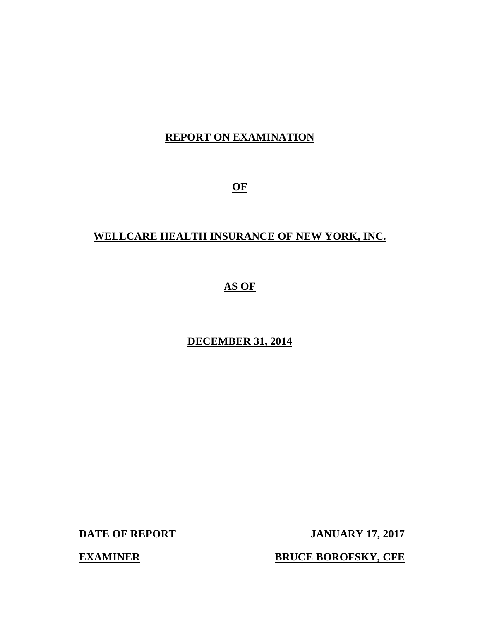## **REPORT ON EXAMINATION**

**OF** 

## **WELLCARE HEALTH INSURANCE OF NEW YORK, INC.**

## **AS OF**

## **DECEMBER 31, 2014**

**DATE OF REPORT JANUARY 17, 2017** 

**EXAMINER BRUCE BOROFSKY, CFE**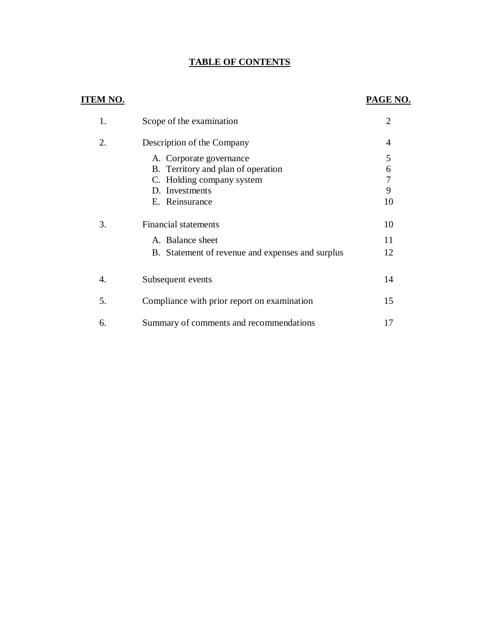#### **TABLE OF CONTENTS**

## **ITEM NO.**

#### **PAGE NO.**

|    | Scope of the examination                                             | $\overline{2}$ |
|----|----------------------------------------------------------------------|----------------|
| 2. | Description of the Company                                           | 4              |
|    | A. Corporate governance<br>B. Territory and plan of operation        | 5<br>6         |
|    | C. Holding company system<br>D. Investments<br>E. Reinsurance        | 9<br>10        |
| 3. | <b>Financial statements</b>                                          | 10             |
|    | A. Balance sheet<br>B. Statement of revenue and expenses and surplus | 11<br>12       |
| 4. | Subsequent events                                                    | 14             |
| 5. | Compliance with prior report on examination                          | 15             |
| 6. | Summary of comments and recommendations                              | 17             |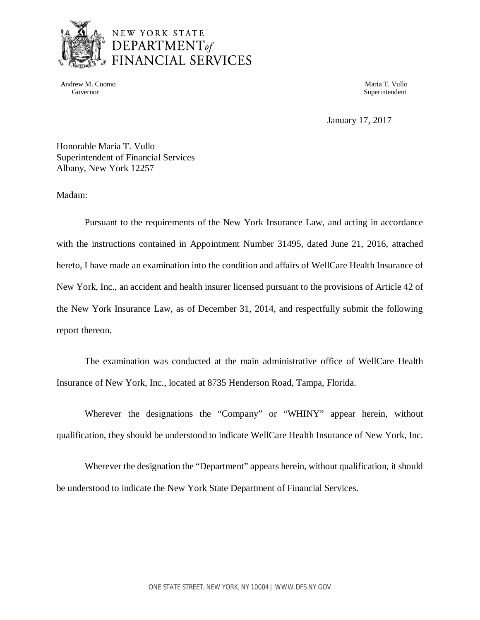

## NEW YORK STATE DEPARTMENT<sub>of</sub> FINANCIAL SERVICES

Andrew M. Cuomo **Maria T. Vullo** Maria T. Vullo Maria T. Vullo Maria T. Vullo Maria T. Vullo Maria T. Vullo Maria T. Vullo

Governor Superintendent Superintendent Superintendent Superintendent Superintendent Superintendent Superintendent Superintendent Superintendent Superintendent Superintendent Superintendent Superintendent Superintendent Sup

January 17, 2017

 Honorable Maria T. Vullo Superintendent of Financial Services Albany, New York 12257

Madam:

 Pursuant to the requirements of the New York Insurance Law, and acting in accordance with the instructions contained in Appointment Number 31495, dated June 21, 2016, attached hereto, I have made an examination into the condition and affairs of WellCare Health Insurance of New York, Inc., an accident and health insurer licensed pursuant to the provisions of Article 42 of the New York Insurance Law, as of December 31, 2014, and respectfully submit the following report thereon.

 The examination was conducted at the main administrative office of WellCare Health Insurance of New York, Inc., located at 8735 Henderson Road, Tampa, Florida.

 Wherever the designations the "Company" or "WHINY" appear herein, without qualification, they should be understood to indicate WellCare Health Insurance of New York, Inc.

 Wherever the designation the "Department" appears herein, without qualification, it should be understood to indicate the New York State Department of Financial Services.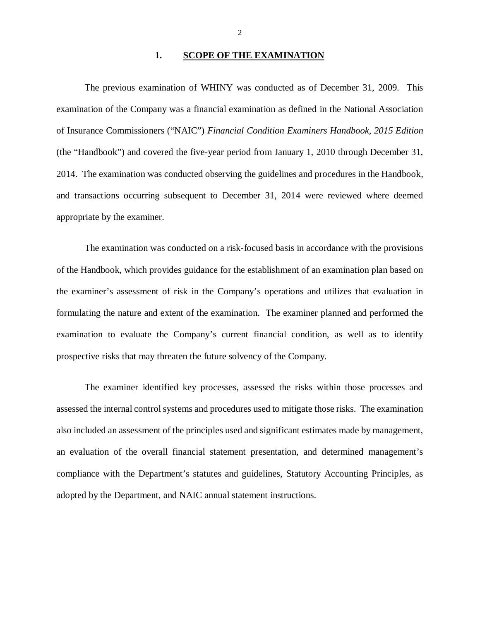#### **1. SCOPE OF THE EXAMINATION**

 The previous examination of WHINY was conducted as of December 31, 2009. This examination of the Company was a financial examination as defined in the National Association of Insurance Commissioners ("NAIC") *Financial Condition Examiners Handbook, 2015 Edition*  (the "Handbook") and covered the five-year period from January 1, 2010 through December 31, 2014. The examination was conducted observing the guidelines and procedures in the Handbook, and transactions occurring subsequent to December 31, 2014 were reviewed where deemed appropriate by the examiner.

 The examination was conducted on a risk-focused basis in accordance with the provisions of the Handbook, which provides guidance for the establishment of an examination plan based on the examiner's assessment of risk in the Company's operations and utilizes that evaluation in formulating the nature and extent of the examination. The examiner planned and performed the examination to evaluate the Company's current financial condition, as well as to identify prospective risks that may threaten the future solvency of the Company.

 The examiner identified key processes, assessed the risks within those processes and assessed the internal control systems and procedures used to mitigate those risks. The examination also included an assessment of the principles used and significant estimates made by management, an evaluation of the overall financial statement presentation, and determined management's compliance with the Department's statutes and guidelines, Statutory Accounting Principles, as adopted by the Department, and NAIC annual statement instructions.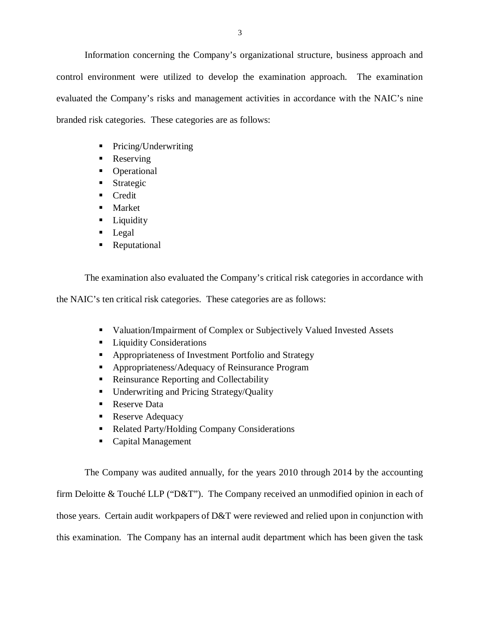Information concerning the Company's organizational structure, business approach and control environment were utilized to develop the examination approach. The examination evaluated the Company's risks and management activities in accordance with the NAIC's nine branded risk categories. These categories are as follows:

- Pricing/Underwriting
- Reserving
- Operational
- **Strategic**
- **Credit**
- **Market**
- **Liquidity**
- Legal
- **Reputational**

The examination also evaluated the Company's critical risk categories in accordance with

the NAIC's ten critical risk categories. These categories are as follows:

- **Valuation/Impairment of Complex or Subjectively Valued Invested Assets**
- **Liquidity Considerations**
- **Appropriateness of Investment Portfolio and Strategy**
- **Appropriateness/Adequacy of Reinsurance Program**
- Reinsurance Reporting and Collectability
- Underwriting and Pricing Strategy/Quality
- Reserve Data
- **Reserve Adequacy**
- Related Party/Holding Company Considerations
- Capital Management

 The Company was audited annually, for the years 2010 through 2014 by the accounting firm Deloitte & Touché LLP ("D&T"). The Company received an unmodified opinion in each of those years. Certain audit workpapers of D&T were reviewed and relied upon in conjunction with this examination. The Company has an internal audit department which has been given the task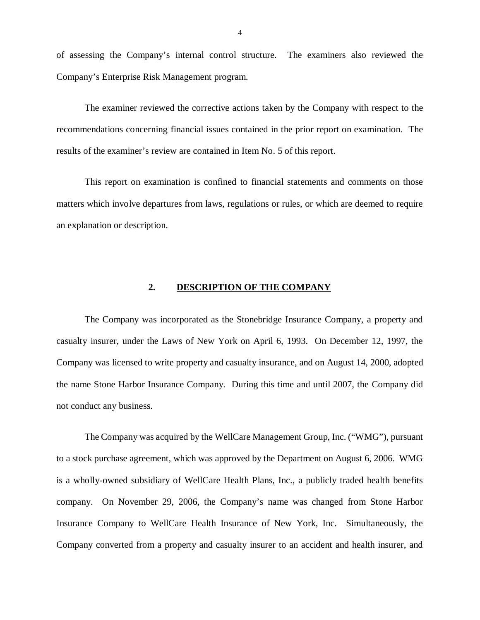of assessing the Company's internal control structure. The examiners also reviewed the Company's Enterprise Risk Management program.

 The examiner reviewed the corrective actions taken by the Company with respect to the recommendations concerning financial issues contained in the prior report on examination. The results of the examiner's review are contained in Item No. 5 of this report.

 This report on examination is confined to financial statements and comments on those matters which involve departures from laws, regulations or rules, or which are deemed to require an explanation or description.

#### **2. DESCRIPTION OF THE COMPANY**

 The Company was incorporated as the Stonebridge Insurance Company, a property and casualty insurer, under the Laws of New York on April 6, 1993. On December 12, 1997, the Company was licensed to write property and casualty insurance, and on August 14, 2000, adopted the name Stone Harbor Insurance Company. During this time and until 2007, the Company did not conduct any business.

 The Company was acquired by the WellCare Management Group, Inc. ("WMG"), pursuant to a stock purchase agreement, which was approved by the Department on August 6, 2006. WMG is a wholly-owned subsidiary of WellCare Health Plans, Inc., a publicly traded health benefits company. On November 29, 2006, the Company's name was changed from Stone Harbor Insurance Company to WellCare Health Insurance of New York, Inc. Simultaneously, the Company converted from a property and casualty insurer to an accident and health insurer, and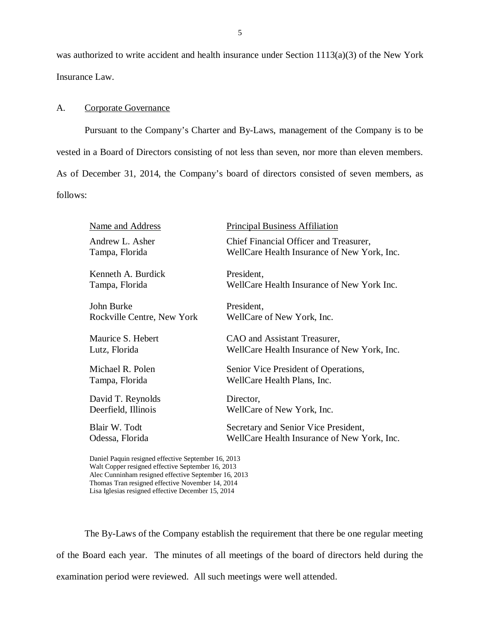<span id="page-6-0"></span> was authorized to write accident and health insurance under Section 1113(a)(3) of the New York Insurance Law.

#### A. Corporate Governance

 Pursuant to the Company's Charter and By-Laws, management of the Company is to be vested in a Board of Directors consisting of not less than seven, nor more than eleven members. As of December 31, 2014, the Company's board of directors consisted of seven members, as follows:

| Name and Address           | <b>Principal Business Affiliation</b>       |
|----------------------------|---------------------------------------------|
| Andrew L. Asher            | Chief Financial Officer and Treasurer,      |
| Tampa, Florida             | WellCare Health Insurance of New York, Inc. |
| Kenneth A. Burdick         | President,                                  |
| Tampa, Florida             | WellCare Health Insurance of New York Inc.  |
| John Burke                 | President,                                  |
| Rockville Centre, New York | WellCare of New York, Inc.                  |
| Maurice S. Hebert          | CAO and Assistant Treasurer,                |
| Lutz, Florida              | WellCare Health Insurance of New York, Inc. |
| Michael R. Polen           | Senior Vice President of Operations,        |
| Tampa, Florida             | WellCare Health Plans, Inc.                 |
| David T. Reynolds          | Director,                                   |
| Deerfield, Illinois        | WellCare of New York, Inc.                  |
| Blair W. Todt              | Secretary and Senior Vice President,        |
| Odessa, Florida            | WellCare Health Insurance of New York, Inc. |

 Daniel Paquin resigned effective September 16, 2013 Walt Copper resigned effective September 16, 2013 Alec Cunninham resigned effective September 16, 2013 Thomas Tran resigned effective November 14, 2014 Lisa Iglesias resigned effective December 15, 2014

 The By-Laws of the Company establish the requirement that there be one regular meeting of the Board each year. The minutes of all meetings of the board of directors held during the examination period were reviewed. All such meetings were well attended.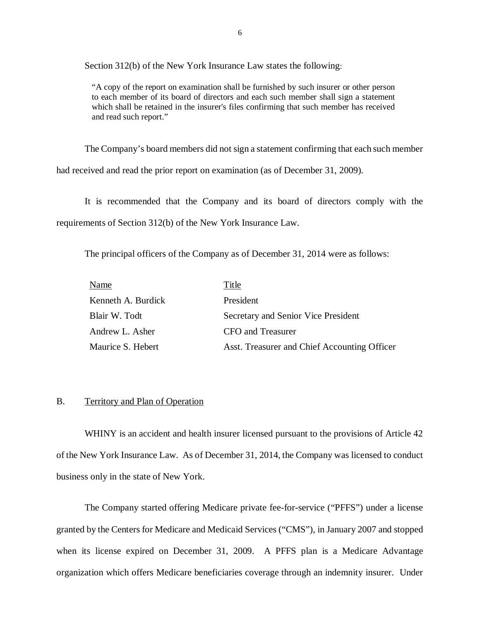Section 312(b) of the New York Insurance Law states the following:

 "A copy of the report on examination shall be furnished by such insurer or other person to each member of its board of directors and each such member shall sign a statement which shall be retained in the insurer's files confirming that such member has received and read such report."

The Company's board members did not sign a statement confirming that each such member

had received and read the prior report on examination (as of December 31, 2009).

 It is recommended that the Company and its board of directors comply with the requirements of Section 312(b) of the New York Insurance Law.

The principal officers of the Company as of December 31, 2014 were as follows:

| Name               | Title                                        |
|--------------------|----------------------------------------------|
| Kenneth A. Burdick | President                                    |
| Blair W. Todt      | Secretary and Senior Vice President          |
| Andrew L. Asher    | CFO and Treasurer                            |
| Maurice S. Hebert  | Asst. Treasurer and Chief Accounting Officer |

#### B. Territory and Plan of Operation

 WHINY is an accident and health insurer licensed pursuant to the provisions of Article 42 of the New York Insurance Law. As of December 31, 2014, the Company was licensed to conduct business only in the state of New York.

 The Company started offering Medicare private fee-for-service ("PFFS") under a license granted by the Centers for Medicare and Medicaid Services ("CMS"), in January 2007 and stopped when its license expired on December 31, 2009. A PFFS plan is a Medicare Advantage organization which offers Medicare beneficiaries coverage through an indemnity insurer. Under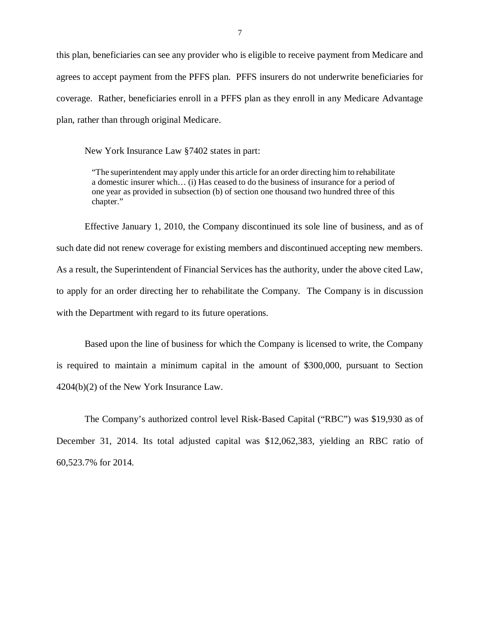<span id="page-8-0"></span> this plan, beneficiaries can see any provider who is eligible to receive payment from Medicare and agrees to accept payment from the PFFS plan. PFFS insurers do not underwrite beneficiaries for coverage. Rather, beneficiaries enroll in a PFFS plan as they enroll in any Medicare Advantage plan, rather than through original Medicare.

New York Insurance Law §7402 states in part:

 "The superintendent may apply under this article for an order directing him to rehabilitate a domestic insurer which… (i) Has ceased to do the business of insurance for a period of one year as provided in subsection (b) of section one thousand two hundred three of this chapter."

 Effective January 1, 2010, the Company discontinued its sole line of business, and as of such date did not renew coverage for existing members and discontinued accepting new members. As a result, the Superintendent of Financial Services has the authority, under the above cited Law, to apply for an order directing her to rehabilitate the Company. The Company is in discussion with the Department with regard to its future operations.

 Based upon the line of business for which the Company is licensed to write, the Company is required to maintain a minimum capital in the amount of \$300,000, pursuant to Section 4204(b)(2) of the New York Insurance Law.

 The Company's authorized control level Risk-Based Capital ("RBC") was \$19,930 as of December 31, 2014. Its total adjusted capital was \$12,062,383, yielding an RBC ratio of 60,523.7% for 2014.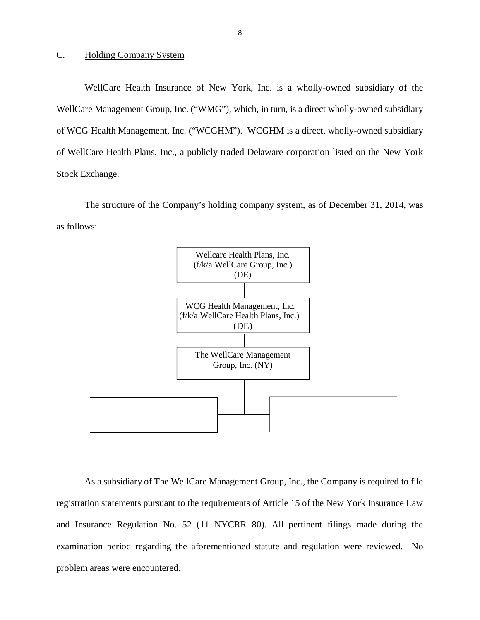#### C. Holding Company System

WellCare Health Insurance of New York, Inc. is a wholly-owned subsidiary of the WellCare Management Group, Inc. ("WMG"), which, in turn, is a direct wholly-owned subsidiary of WCG Health Management, Inc. ("WCGHM"). WCGHM is a direct, wholly-owned subsidiary of WellCare Health Plans, Inc., a publicly traded Delaware corporation listed on the New York Stock Exchange.

The structure of the Company's holding company system, as of December 31, 2014, was as follows:



 As a subsidiary of The WellCare Management Group, Inc., the Company is required to file registration statements pursuant to the requirements of Article 15 of the New York Insurance Law and Insurance Regulation No. 52 (11 NYCRR 80). All pertinent filings made during the examination period regarding the aforementioned statute and regulation were reviewed. No problem areas were encountered.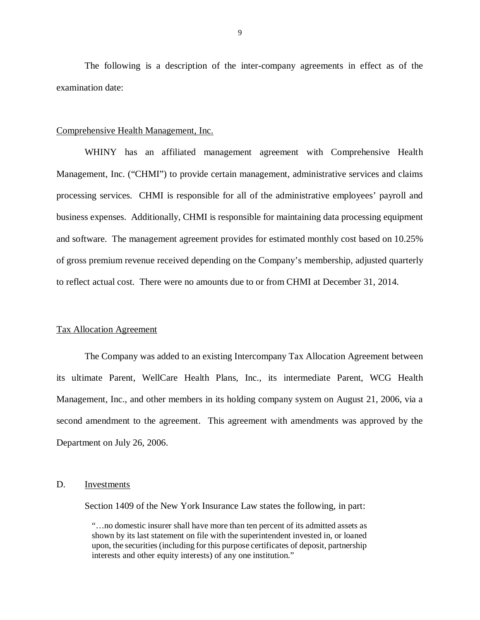<span id="page-10-0"></span> The following is a description of the inter-company agreements in effect as of the examination date:

#### Comprehensive Health Management, Inc.

 WHINY has an affiliated management agreement with Comprehensive Health Management, Inc. ("CHMI") to provide certain management, administrative services and claims processing services. CHMI is responsible for all of the administrative employees' payroll and business expenses. Additionally, CHMI is responsible for maintaining data processing equipment and software. The management agreement provides for estimated monthly cost based on 10.25% of gross premium revenue received depending on the Company's membership, adjusted quarterly to reflect actual cost. There were no amounts due to or from CHMI at December 31, 2014.

#### Tax Allocation Agreement

 The Company was added to an existing Intercompany Tax Allocation Agreement between its ultimate Parent, WellCare Health Plans, Inc., its intermediate Parent, WCG Health Management, Inc., and other members in its holding company system on August 21, 2006, via a second amendment to the agreement. This agreement with amendments was approved by the Department on July 26, 2006.

#### D. Investments

Section 1409 of the New York Insurance Law states the following, in part:

 "…no domestic insurer shall have more than ten percent of its admitted assets as shown by its last statement on file with the superintendent invested in, or loaned upon, the securities (including for this purpose certificates of deposit, partnership interests and other equity interests) of any one institution."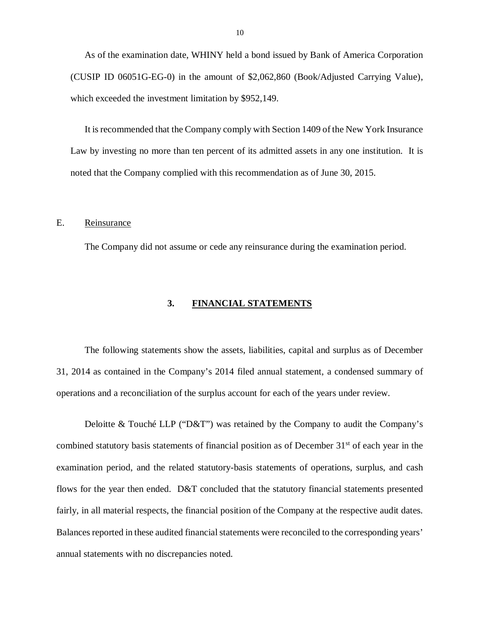<span id="page-11-0"></span> As of the examination date, WHINY held a bond issued by Bank of America Corporation (CUSIP ID 06051G-EG-0) in the amount of \$2,062,860 (Book/Adjusted Carrying Value), which exceeded the investment limitation by \$952,149.

 It is recommended that the Company comply with Section 1409 of the New York Insurance Law by investing no more than ten percent of its admitted assets in any one institution. It is noted that the Company complied with this recommendation as of June 30, 2015.

#### E. Reinsurance

The Company did not assume or cede any reinsurance during the examination period.

#### **3. FINANCIAL STATEMENTS**

 The following statements show the assets, liabilities, capital and surplus as of December 31, 2014 as contained in the Company's 2014 filed annual statement, a condensed summary of operations and a reconciliation of the surplus account for each of the years under review.

 Deloitte & Touché LLP ("D&T") was retained by the Company to audit the Company's combined statutory basis statements of financial position as of December 31<sup>st</sup> of each year in the examination period, and the related statutory-basis statements of operations, surplus, and cash flows for the year then ended. D&T concluded that the statutory financial statements presented fairly, in all material respects, the financial position of the Company at the respective audit dates. Balances reported in these audited financial statements were reconciled to the corresponding years' annual statements with no discrepancies noted.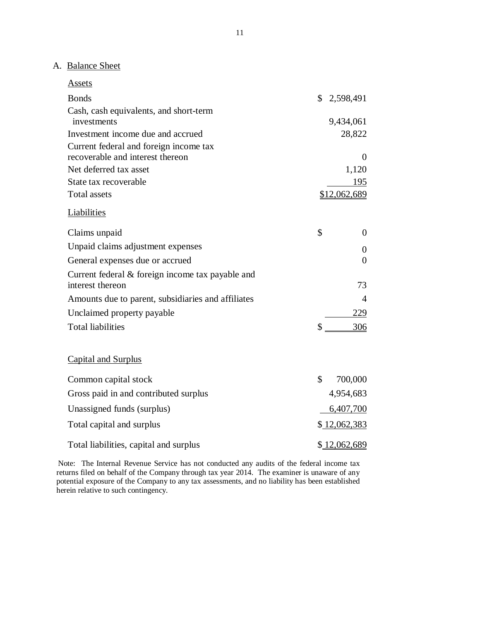## A. Balance Sheet

| <b>Assets</b>                                                          |    |              |
|------------------------------------------------------------------------|----|--------------|
| <b>Bonds</b>                                                           |    | \$2,598,491  |
| Cash, cash equivalents, and short-term                                 |    |              |
| investments                                                            |    | 9,434,061    |
| Investment income due and accrued                                      |    | 28,822       |
| Current federal and foreign income tax                                 |    |              |
| recoverable and interest thereon                                       |    | $\theta$     |
| Net deferred tax asset                                                 |    | 1,120        |
| State tax recoverable                                                  |    | 195          |
| <b>Total assets</b>                                                    |    | \$12,062,689 |
| Liabilities                                                            |    |              |
| Claims unpaid                                                          | \$ | $\theta$     |
| Unpaid claims adjustment expenses                                      |    | $\theta$     |
| General expenses due or accrued                                        |    | $\theta$     |
| Current federal $&$ foreign income tax payable and<br>interest thereon |    | 73           |
| Amounts due to parent, subsidiaries and affiliates                     |    | 4            |
| Unclaimed property payable                                             |    | 229          |
| <b>Total liabilities</b>                                               | \$ | 306          |
| <b>Capital and Surplus</b>                                             |    |              |
| Common capital stock                                                   | \$ | 700,000      |
| Gross paid in and contributed surplus                                  |    | 4,954,683    |
| Unassigned funds (surplus)                                             |    | 6,407,700    |
| Total capital and surplus                                              |    | \$12,062,383 |
| Total liabilities, capital and surplus                                 |    | \$12,062,689 |

 Note: The Internal Revenue Service has not conducted any audits of the federal income tax returns filed on behalf of the Company through tax year 2014. The examiner is unaware of any potential exposure of the Company to any tax assessments, and no liability has been established herein relative to such contingency.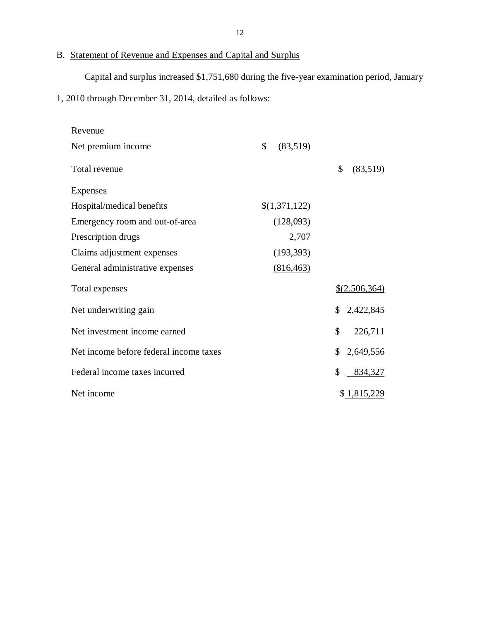#### B. Statement of Revenue and Expenses and Capital and Surplus

Capital and surplus increased \$1,751,680 during the five-year examination period, January

1, 2010 through December 31, 2014, detailed as follows:

| <u>Revenue</u>                         |                |                          |
|----------------------------------------|----------------|--------------------------|
| Net premium income                     | \$<br>(83,519) |                          |
| Total revenue                          |                | \$<br>(83,519)           |
| <b>Expenses</b>                        |                |                          |
| Hospital/medical benefits              | \$(1,371,122)  |                          |
| Emergency room and out-of-area         | (128,093)      |                          |
| Prescription drugs                     | 2,707          |                          |
| Claims adjustment expenses             | (193, 393)     |                          |
| General administrative expenses        | (816, 463)     |                          |
| Total expenses                         |                | $$$ (2,506,364)          |
| Net underwriting gain                  |                | \$2,422,845              |
| Net investment income earned           |                | $\mathcal{S}$<br>226,711 |
| Net income before federal income taxes |                | \$<br>2,649,556          |
| Federal income taxes incurred          |                | \$<br>834,327            |
| Net income                             |                | \$1,815,229              |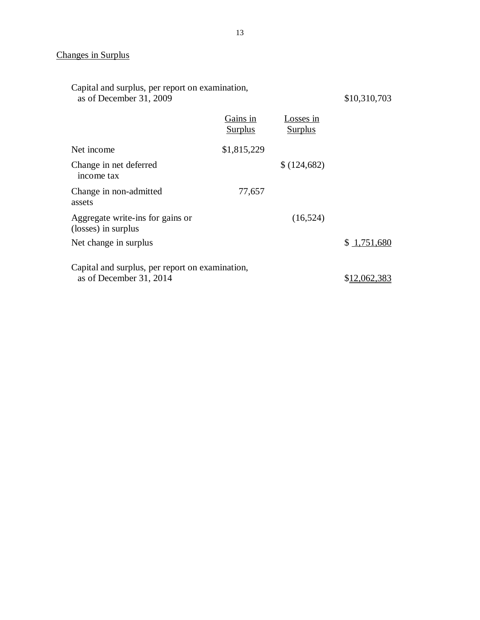#### Changes in Surplus

| Capital and surplus, per report on examination,<br>as of December 31, 2009 | \$10,310,703               |                             |             |
|----------------------------------------------------------------------------|----------------------------|-----------------------------|-------------|
|                                                                            | Gains in<br><b>Surplus</b> | Losses in<br><b>Surplus</b> |             |
| Net income                                                                 | \$1,815,229                |                             |             |
| Change in net deferred<br>income tax                                       |                            | \$(124,682)                 |             |
| Change in non-admitted<br>assets                                           | 77,657                     |                             |             |
| Aggregate write-ins for gains or<br>(losses) in surplus                    |                            | (16, 524)                   |             |
| Net change in surplus                                                      |                            |                             | \$1,751,680 |
| Capital and surplus, per report on examination,<br>as of December 31, 2014 | \$12,062,383               |                             |             |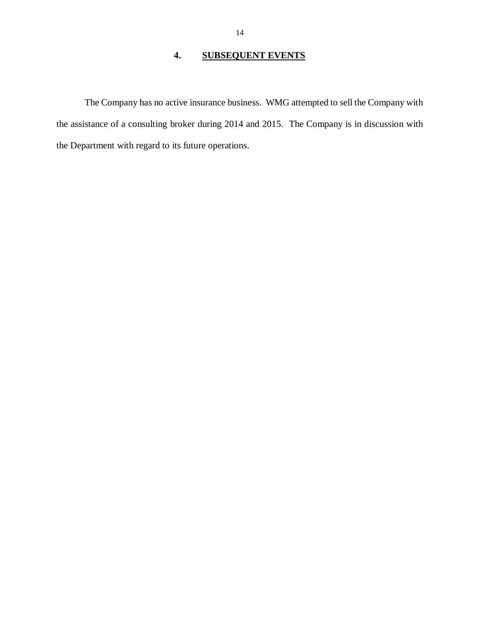#### **4. SUBSEQUENT EVENTS**

<span id="page-15-0"></span> The Company has no active insurance business. WMG attempted to sell the Company with the assistance of a consulting broker during 2014 and 2015. The Company is in discussion with the Department with regard to its future operations.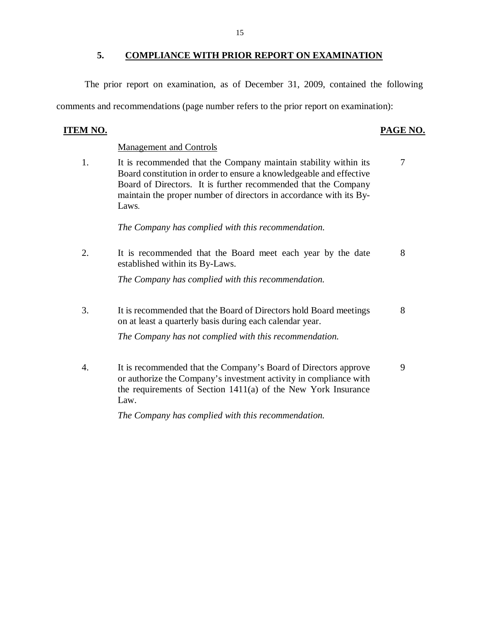<span id="page-16-0"></span> The prior report on examination, as of December 31, 2009, contained the following comments and recommendations (page number refers to the prior report on examination):

### **ITEM NO.**

#### PAGE NO.

#### Management and Controls

1. Board constitution in order to ensure a knowledgeable and effective Board of Directors. It is further recommended that the Company maintain the proper number of directors in accordance with its By-It is recommended that the Company maintain stability within its  $\frac{7}{10}$ Laws.

 *The Company has complied with this recommendation.* 

2. established within its By-Laws. It is recommended that the Board meet each year by the date 8

 *The Company has complied with this recommendation.* 

3. on at least a quarterly basis during each calendar year. It is recommended that the Board of Directors hold Board meetings 8

 *The Company has not complied with this recommendation.* 

 $\overline{4}$  or authorize the Company's investment activity in compliance with the requirements of Section 1411(a) of the New York Insurance It is recommended that the Company's Board of Directors approve 9 Law.

 *The Company has complied with this recommendation.*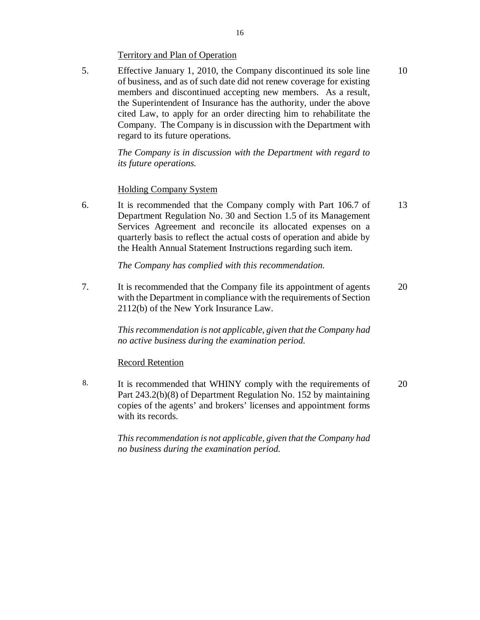### Territory and Plan of Operation

 5. Effective January 1, 2010, the Company discontinued its sole line 10 of business, and as of such date did not renew coverage for existing members and discontinued accepting new members. As a result, the Superintendent of Insurance has the authority, under the above cited Law, to apply for an order directing him to rehabilitate the Company. The Company is in discussion with the Department with regard to its future operations.

> *The Company is in discussion with the Department with regard to its future operations.*

#### Holding Company System

6. Department Regulation No. 30 and Section 1.5 of its Management Services Agreement and reconcile its allocated expenses on a quarterly basis to reflect the actual costs of operation and abide by the Health Annual Statement Instructions regarding such item. It is recommended that the Company comply with Part 106.7 of 13

 *The Company has complied with this recommendation.* 

7. with the Department in compliance with the requirements of Section 2112(b) of the New York Insurance Law. It is recommended that the Company file its appointment of agents 20

> *This recommendation is not applicable, given that the Company had no active business during the examination period.*

### Record Retention

 8. It is recommended that WHINY comply with the requirements of 20 Part 243.2(b)(8) of Department Regulation No. 152 by maintaining copies of the agents' and brokers' licenses and appointment forms with its records.

> *This recommendation is not applicable, given that the Company had no business during the examination period.*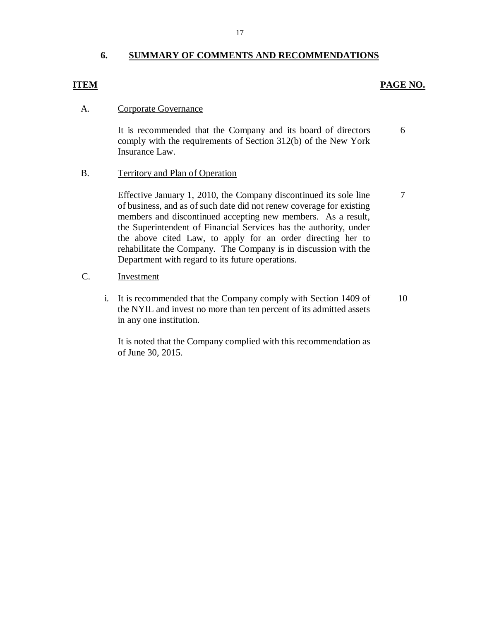#### **6. SUMMARY OF COMMENTS AND RECOMMENDATIONS**

### **PAGE NO. PAGE NO.**

7

#### Corporate Governance A.

 It is recommended that the Company and its board of directors comply with the requirements of Section 312(b) of the New York Insurance Law. 6

#### Territory and Plan of Operation B.

 Effective January 1, 2010, the Company discontinued its sole line of business, and as of such date did not renew coverage for existing members and discontinued accepting new members. As a result, the Superintendent of Financial Services has the authority, under the above cited Law, to apply for an order directing her to rehabilitate the Company. The Company is in discussion with the Department with regard to its future operations.

#### C. Investment

 i. It is recommended that the Company comply with Section 1409 of the NYIL and invest no more than ten percent of its admitted assets in any one institution. 10

 It is noted that the Company complied with this recommendation as of June 30, 2015.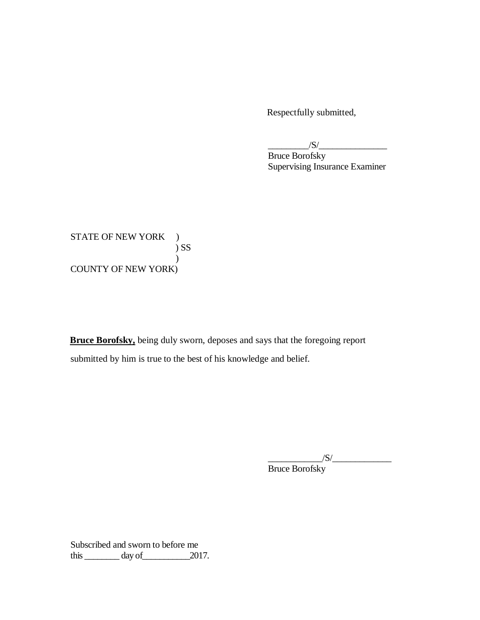Respectfully submitted,

 $/S/\sim$ 

 Bruce Borofsky Supervising Insurance Examiner

STATE OF NEW YORK ) COUNTY OF NEW YORK) ) SS  $\overline{)}$ 

 **Bruce Borofsky,** being duly sworn, deposes and says that the foregoing report submitted by him is true to the best of his knowledge and belief.

> $\frac{1}{\sqrt{S}}$ Bruce Borofsky

 Subscribed and sworn to before me this  $\_\_\_\_\_$  day of  $\_\_\_\_$  2017.